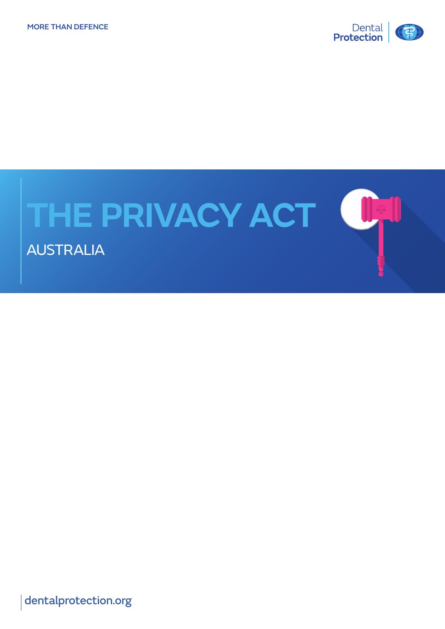

# **THE PRIVACY ACT (UP)**

AUSTRALIA

[dentalprotection.org](http://www.dentalprotection.org/au)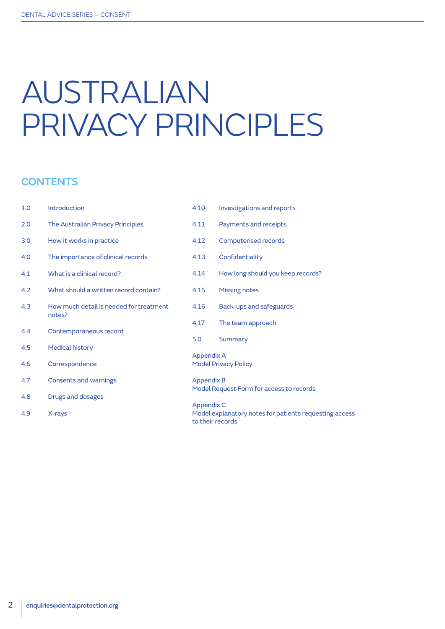## AUSTRALIAN PRIVACY PRINCIPLES

#### **CONTENTS**

| 1.0 | <b>Introduction</b>                     | 4.10                                     | <b>Investigations and reports</b>                                    |  |  |
|-----|-----------------------------------------|------------------------------------------|----------------------------------------------------------------------|--|--|
| 2.0 | The Australian Privacy Principles       | 4.11                                     | Payments and receipts                                                |  |  |
| 3.0 | How it works in practice                | 4.12                                     | Computerised records                                                 |  |  |
| 4.0 | The importance of clinical records      | 4.13                                     | Confidentiality                                                      |  |  |
| 4.1 | What is a clinical record?              | 4.14                                     | How long should you keep records?                                    |  |  |
| 4.2 | What should a written record contain?   | 4.15                                     | <b>Missing notes</b>                                                 |  |  |
| 4.3 | How much detail is needed for treatment | 4.16                                     | Back-ups and safeguards                                              |  |  |
|     | notes?                                  | 4.17                                     | The team approach                                                    |  |  |
| 4.4 | Contemporaneous record                  | 5.0                                      | Summary                                                              |  |  |
| 4.5 | <b>Medical history</b>                  |                                          |                                                                      |  |  |
|     |                                         | <b>Appendix A</b>                        |                                                                      |  |  |
| 4.6 | Correspondence                          |                                          | <b>Model Privacy Policy</b>                                          |  |  |
| 4.7 | Consents and warnings                   |                                          | <b>Appendix B</b>                                                    |  |  |
|     |                                         | Model Request Form for access to records |                                                                      |  |  |
| 4.8 | Drugs and dosages                       |                                          |                                                                      |  |  |
| 4.9 | X-rays                                  |                                          | Appendix C<br>Model explanatory notes for patients requesting access |  |  |
|     |                                         | to their records                         |                                                                      |  |  |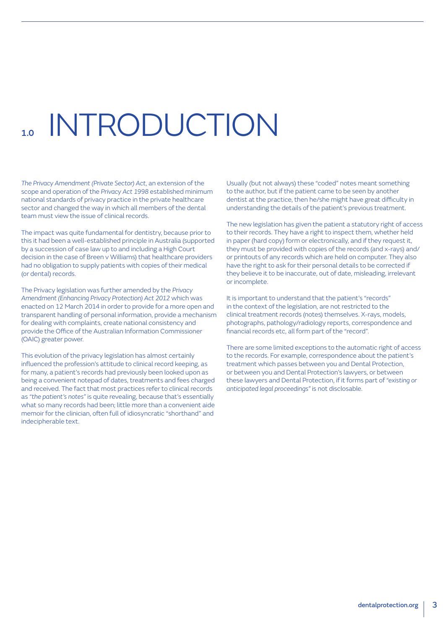# **INTRODUCTION**

*The Privacy Amendment (Private Sector) Act*, an extension of the scope and operation of the *Privacy Act 1998* established minimum national standards of privacy practice in the private healthcare sector and changed the way in which all members of the dental team must view the issue of clinical records.

The impact was quite fundamental for dentistry, because prior to this it had been a well-established principle in Australia (supported by a succession of case law up to and including a High Court decision in the case of Breen v Williams) that healthcare providers had no obligation to supply patients with copies of their medical (or dental) records.

The Privacy legislation was further amended by the *Privacy Amendment (Enhancing Privacy Protection) Act 2012* which was enacted on 12 March 2014 in order to provide for a more open and transparent handling of personal information, provide a mechanism for dealing with complaints, create national consistency and provide the Office of the Australian Information Commissioner (OAIC) greater power.

This evolution of the privacy legislation has almost certainly influenced the profession's attitude to clinical record keeping, as for many, a patient's records had previously been looked upon as being a convenient notepad of dates, treatments and fees charged and received. The fact that most practices refer to clinical records as *"the patient's notes"* is quite revealing, because that's essentially what so many records had been; little more than a convenient aide memoir for the clinician, often full of idiosyncratic "shorthand" and indecipherable text.

Usually (but not always) these "coded" notes meant something to the author, but if the patient came to be seen by another dentist at the practice, then he/she might have great difficulty in understanding the details of the patient's previous treatment.

The new legislation has given the patient a statutory right of access to their records. They have a right to inspect them, whether held in paper (hard copy) form or electronically, and if they request it, they must be provided with copies of the records (and x-rays) and/ or printouts of any records which are held on computer. They also have the right to ask for their personal details to be corrected if they believe it to be inaccurate, out of date, misleading, irrelevant or incomplete.

It is important to understand that the patient's "records" in the context of the legislation, are not restricted to the clinical treatment records (notes) themselves. X-rays, models, photographs, pathology/radiology reports, correspondence and financial records etc, all form part of the "record".

There are some limited exceptions to the automatic right of access to the records. For example, correspondence about the patient's treatment which passes between you and Dental Protection, or between you and Dental Protection's lawyers, or between these lawyers and Dental Protection, if it forms part of *"existing or anticipated legal proceedings"* is not disclosable.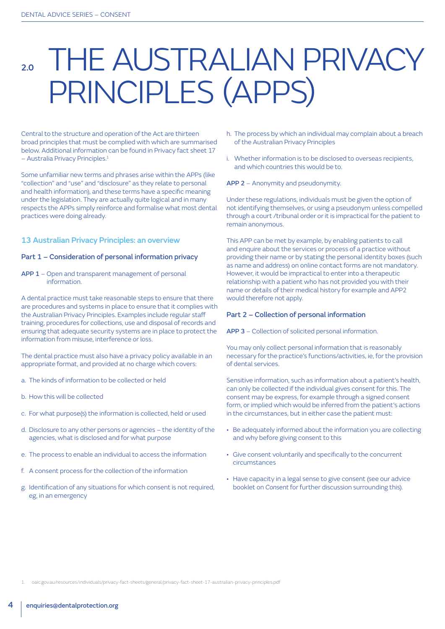### THE AUSTRALIAN PRIVACY PRINCIPLES (APPS)

Central to the structure and operation of the Act are thirteen broad principles that must be complied with which are summarised below. Additional information can be found in Privacy fact sheet 17 – Australia Privacy Principles.1

Some unfamiliar new terms and phrases arise within the APPs (like "collection" and "use" and "disclosure" as they relate to personal and health information), and these terms have a specific meaning under the legislation. They are actually quite logical and in many respects the APPs simply reinforce and formalise what most dental practices were doing already.

#### 13 Australian Privacy Principles: an overview

#### Part 1 – Consideration of personal information privacy

APP 1 – Open and transparent management of personal information.

A dental practice must take reasonable steps to ensure that there are procedures and systems in place to ensure that it complies with the Australian Privacy Principles. Examples include regular staff training, procedures for collections, use and disposal of records and ensuring that adequate security systems are in place to protect the information from misuse, interference or loss.

The dental practice must also have a privacy policy available in an appropriate format, and provided at no charge which covers:

- a. The kinds of information to be collected or held
- b. How this will be collected
- c. For what purpose(s) the information is collected, held or used
- d. Disclosure to any other persons or agencies the identity of the agencies, what is disclosed and for what purpose
- e. The process to enable an individual to access the information
- f. A consent process for the collection of the information
- g. Identification of any situations for which consent is not required, eg, in an emergency
- h. The process by which an individual may complain about a breach of the Australian Privacy Principles
- i. Whether information is to be disclosed to overseas recipients, and which countries this would be to.
- APP 2 Anonymity and pseudonymity.

Under these regulations, individuals must be given the option of not identifying themselves, or using a pseudonym unless compelled through a court /tribunal order or it is impractical for the patient to remain anonymous.

This APP can be met by example, by enabling patients to call and enquire about the services or process of a practice without providing their name or by stating the personal identity boxes (such as name and address) on online contact forms are not mandatory. However, it would be impractical to enter into a therapeutic relationship with a patient who has not provided you with their name or details of their medical history for example and APP2 would therefore not apply.

#### Part 2 – Collection of personal information

APP 3 – Collection of solicited personal information.

You may only collect personal information that is reasonably necessary for the practice's functions/activities, ie, for the provision of dental services.

Sensitive information, such as information about a patient's health, can only be collected if the individual gives consent for this. The consent may be express, for example through a signed consent form, or implied which would be inferred from the patient's actions in the circumstances, but in either case the patient must:

- Be adequately informed about the information you are collecting and why before giving consent to this
- Give consent voluntarily and specifically to the concurrent circumstances
- Have capacity in a legal sense to give consent (see our advice booklet on *Consent* for further discussion surrounding this).

1. [oaic.gov.au/resources/individuals/privacy-fact-sheets/general/privacy-fact-sheet-17-australian-privacy-principles.pd](https://www.oaic.gov.au/resources/individuals/privacy-fact-sheets/general/privacy-fact-sheet-17-australian-privacy-principles.pdf)f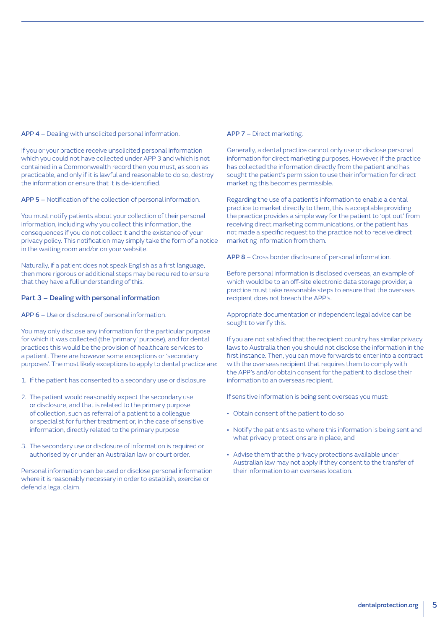APP 4 – Dealing with unsolicited personal information.

If you or your practice receive unsolicited personal information which you could not have collected under APP 3 and which is not contained in a Commonwealth record then you must, as soon as practicable, and only if it is lawful and reasonable to do so, destroy the information or ensure that it is de-identified.

APP 5 – Notification of the collection of personal information.

You must notify patients about your collection of their personal information, including why you collect this information, the consequences if you do not collect it and the existence of your privacy policy. This notification may simply take the form of a notice in the waiting room and/or on your website.

Naturally, if a patient does not speak English as a first language, then more rigorous or additional steps may be required to ensure that they have a full understanding of this.

#### Part 3 – Dealing with personal information

APP 6 – Use or disclosure of personal information.

You may only disclose any information for the particular purpose for which it was collected (the 'primary' purpose), and for dental practices this would be the provision of healthcare services to a patient. There are however some exceptions or 'secondary purposes'. The most likely exceptions to apply to dental practice are:

- 1. If the patient has consented to a secondary use or disclosure
- 2. The patient would reasonably expect the secondary use or disclosure, and that is related to the primary purpose of collection, such as referral of a patient to a colleague or specialist for further treatment or, in the case of sensitive information, directly related to the primary purpose
- 3. The secondary use or disclosure of information is required or authorised by or under an Australian law or court order.

Personal information can be used or disclose personal information where it is reasonably necessary in order to establish, exercise or defend a legal claim.

#### APP 7 – Direct marketing.

Generally, a dental practice cannot only use or disclose personal information for direct marketing purposes. However, if the practice has collected the information directly from the patient and has sought the patient's permission to use their information for direct marketing this becomes permissible.

Regarding the use of a patient's information to enable a dental practice to market directly to them, this is acceptable providing the practice provides a simple way for the patient to 'opt out' from receiving direct marketing communications, or the patient has not made a specific request to the practice not to receive direct marketing information from them.

APP 8 – Cross border disclosure of personal information.

Before personal information is disclosed overseas, an example of which would be to an off-site electronic data storage provider, a practice must take reasonable steps to ensure that the overseas recipient does not breach the APP's.

Appropriate documentation or independent legal advice can be sought to verify this.

If you are not satisfied that the recipient country has similar privacy laws to Australia then you should not disclose the information in the first instance. Then, you can move forwards to enter into a contract with the overseas recipient that requires them to comply with the APP's and/or obtain consent for the patient to disclose their information to an overseas recipient.

If sensitive information is being sent overseas you must:

- Obtain consent of the patient to do so
- Notify the patients as to where this information is being sent and what privacy protections are in place, and
- Advise them that the privacy protections available under Australian law may not apply if they consent to the transfer of their information to an overseas location.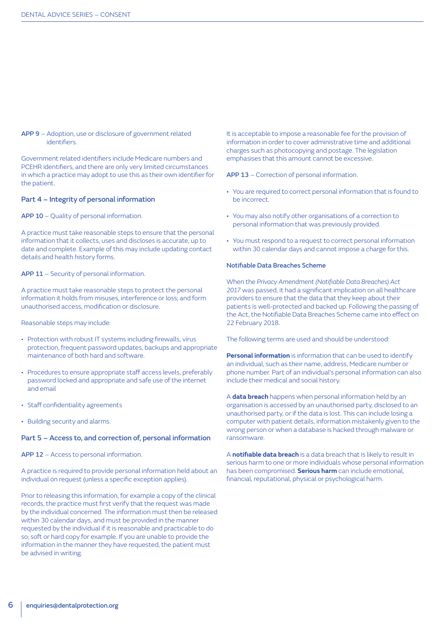#### APP 9 – Adoption, use or disclosure of government related identifiers.

Government related identifiers include Medicare numbers and PCEHR identifiers, and there are only very limited circumstances in which a practice may adopt to use this as their own identifier for the patient.

#### Part 4 – Integrity of personal information

APP 10 - Quality of personal information.

A practice must take reasonable steps to ensure that the personal information that it collects, uses and discloses is accurate, up to date and complete. Example of this may include updating contact details and health history forms.

#### APP 11 - Security of personal information.

A practice must take reasonable steps to protect the personal information it holds from misuses, interference or loss; and form unauthorised access, modification or disclosure.

Reasonable steps may include:

- Protection with robust IT systems including firewalls, virus protection, frequent password updates, backups and appropriate maintenance of both hard and software.
- Procedures to ensure appropriate staff access levels, preferably password locked and appropriate and safe use of the internet and email
- Staff confidentiality agreements
- Building security and alarms.

#### Part 5 – Access to, and correction of, personal information

APP 12 – Access to personal information.

A practice is required to provide personal information held about an individual on request (unless a specific exception applies).

Prior to releasing this information, for example a copy of the clinical records, the practice must first verify that the request was made by the individual concerned. The information must then be released within 30 calendar days, and must be provided in the manner requested by the individual if it is reasonable and practicable to do so; soft or hard copy for example. If you are unable to provide the information in the manner they have requested, the patient must be advised in writing.

It is acceptable to impose a reasonable fee for the provision of information in order to cover administrative time and additional charges such as photocopying and postage. The legislation emphasises that this amount cannot be excessive.

APP 13 – Correction of personal information.

- You are required to correct personal information that is found to be incorrect.
- You may also notify other organisations of a correction to personal information that was previously provided.
- You must respond to a request to correct personal information within 30 calendar days and cannot impose a charge for this.

#### Notifiable Data Breaches Scheme

When the *Privacy Amendment (Notifiable Data Breaches) Act 2017* was passed, it had a significant implication on all healthcare providers to ensure that the data that they keep about their patients is well-protected and backed up. Following the passing of the Act, the Notifiable Data Breaches Scheme came into effect on 22 February 2018.

The following terms are used and should be understood:

**Personal information** is information that can be used to identify an individual, such as their name, address, Medicare number or phone number. Part of an individual's personal information can also include their medical and social history.

A **data breach** happens when personal information held by an organisation is accessed by an unauthorised party, disclosed to an unauthorised party, or if the data is lost. This can include losing a computer with patient details, information mistakenly given to the wrong person or when a database is hacked through malware or ransomware.

A **notifiable data breach** is a data breach that is likely to result in serious harm to one or more individuals whose personal information has been compromised. **Serious harm** can include emotional, financial, reputational, physical or psychological harm.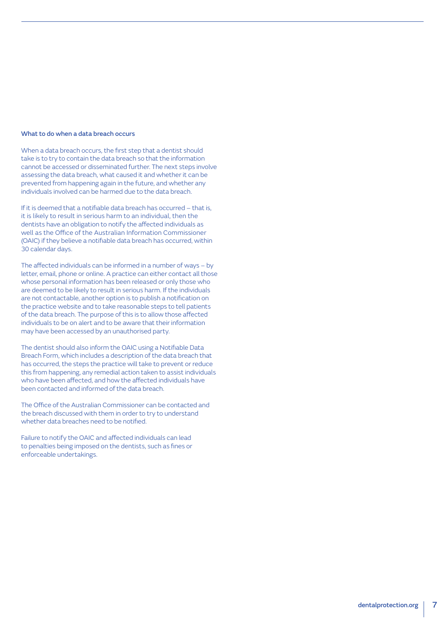#### What to do when a data breach occurs

When a data breach occurs, the first step that a dentist should take is to try to contain the data breach so that the information cannot be accessed or disseminated further. The next steps involve assessing the data breach, what caused it and whether it can be prevented from happening again in the future, and whether any individuals involved can be harmed due to the data breach.

If it is deemed that a notifiable data breach has occurred – that is, it is likely to result in serious harm to an individual, then the dentists have an obligation to notify the affected individuals as well as the Office of the Australian Information Commissioner (OAIC) if they believe a notifiable data breach has occurred, within 30 calendar days.

The affected individuals can be informed in a number of ways – by letter, email, phone or online. A practice can either contact all those whose personal information has been released or only those who are deemed to be likely to result in serious harm. If the individuals are not contactable, another option is to publish a notification on the practice website and to take reasonable steps to tell patients of the data breach. The purpose of this is to allow those affected individuals to be on alert and to be aware that their information may have been accessed by an unauthorised party.

The dentist should also inform the OAIC using a Notifiable Data Breach Form, which includes a description of the data breach that has occurred, the steps the practice will take to prevent or reduce this from happening, any remedial action taken to assist individuals who have been affected, and how the affected individuals have been contacted and informed of the data breach.

The Office of the Australian Commissioner can be contacted and the breach discussed with them in order to try to understand whether data breaches need to be notified.

Failure to notify the OAIC and affected individuals can lead to penalties being imposed on the dentists, such as fines or enforceable undertakings.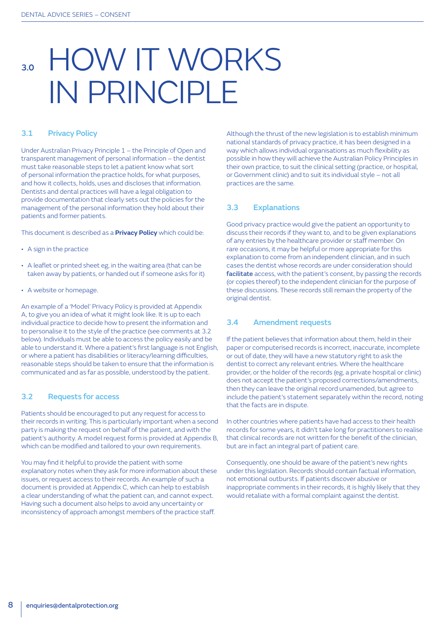### 3.0 HOW IT WORKS IN PRINCIPLE

#### 3.1 Privacy Policy

Under Australian Privacy Principle 1 – the Principle of Open and transparent management of personal information – the dentist must take reasonable steps to let a patient know what sort of personal information the practice holds, for what purposes, and how it collects, holds, uses and discloses that information. Dentists and dental practices will have a legal obligation to provide documentation that clearly sets out the policies for the management of the personal information they hold about their patients and former patients.

This document is described as a **Privacy Policy** which could be:

- A sign in the practice
- A leaflet or printed sheet eg, in the waiting area (that can be taken away by patients, or handed out if someone asks for it)
- A website or homepage.

An example of a 'Model' Privacy Policy is provided at Appendix A, to give you an idea of what it might look like. It is up to each individual practice to decide how to present the information and to personalise it to the style of the practice (see comments at 3.2 below). Individuals must be able to access the policy easily and be able to understand it. Where a patient's first language is not English, or where a patient has disabilities or literacy/learning difficulties, reasonable steps should be taken to ensure that the information is communicated and as far as possible, understood by the patient.

#### 3.2 Requests for access

Patients should be encouraged to put any request for access to their records in writing. This is particularly important when a second party is making the request on behalf of the patient, and with the patient's authority. A model request form is provided at Appendix B, which can be modified and tailored to your own requirements.

You may find it helpful to provide the patient with some explanatory notes when they ask for more information about these issues, or request access to their records. An example of such a document is provided at Appendix C, which can help to establish a clear understanding of what the patient can, and cannot expect. Having such a document also helps to avoid any uncertainty or inconsistency of approach amongst members of the practice staff.

Although the thrust of the new legislation is to establish minimum national standards of privacy practice, it has been designed in a way which allows individual organisations as much flexibility as possible in how they will achieve the Australian Policy Principles in their own practice, to suit the clinical setting (practice, or hospital, or Government clinic) and to suit its individual style – not all practices are the same.

#### 3.3 Explanations

Good privacy practice would give the patient an opportunity to discuss their records if they want to, and to be given explanations of any entries by the healthcare provider or staff member. On rare occasions, it may be helpful or more appropriate for this explanation to come from an independent clinician, and in such cases the dentist whose records are under consideration should facilitate access, with the patient's consent, by passing the records (or copies thereof) to the independent clinician for the purpose of these discussions. These records still remain the property of the original dentist.

#### 3.4 Amendment requests

If the patient believes that information about them, held in their paper or computerised records is incorrect, inaccurate, incomplete or out of date, they will have a new statutory right to ask the dentist to correct any relevant entries. Where the healthcare provider, or the holder of the records (eg, a private hospital or clinic) does not accept the patient's proposed corrections/amendments, then they can leave the original record unamended, but agree to include the patient's statement separately within the record, noting that the facts are in dispute.

In other countries where patients have had access to their health records for some years, it didn't take long for practitioners to realise that clinical records are not written for the benefit of the clinician, but are in fact an integral part of patient care.

Consequently, one should be aware of the patient's new rights under this legislation. Records should contain factual information, not emotional outbursts. If patients discover abusive or inappropriate comments in their records, it is highly likely that they would retaliate with a formal complaint against the dentist.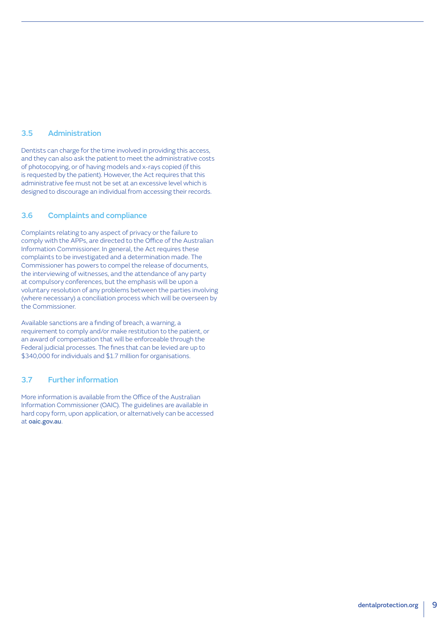#### 3.5 Administration

Dentists can charge for the time involved in providing this access, and they can also ask the patient to meet the administrative costs of photocopying, or of having models and x-rays copied (if this is requested by the patient). However, the Act requires that this administrative fee must not be set at an excessive level which is designed to discourage an individual from accessing their records.

#### 3.6 Complaints and compliance

Complaints relating to any aspect of privacy or the failure to comply with the APPs, are directed to the Office of the Australian Information Commissioner. In general, the Act requires these complaints to be investigated and a determination made. The Commissioner has powers to compel the release of documents, the interviewing of witnesses, and the attendance of any party at compulsory conferences, but the emphasis will be upon a voluntary resolution of any problems between the parties involving (where necessary) a conciliation process which will be overseen by the Commissioner.

Available sanctions are a finding of breach, a warning, a requirement to comply and/or make restitution to the patient, or an award of compensation that will be enforceable through the Federal judicial processes. The fines that can be levied are up to \$340,000 for individuals and \$1.7 million for organisations.

#### 3.7 Further information

More information is available from the Office of the Australian Information Commissioner (OAIC). The guidelines are available in hard copy form, upon application, or alternatively can be accessed at [oaic.gov.au](http://www.oaic.gov.au).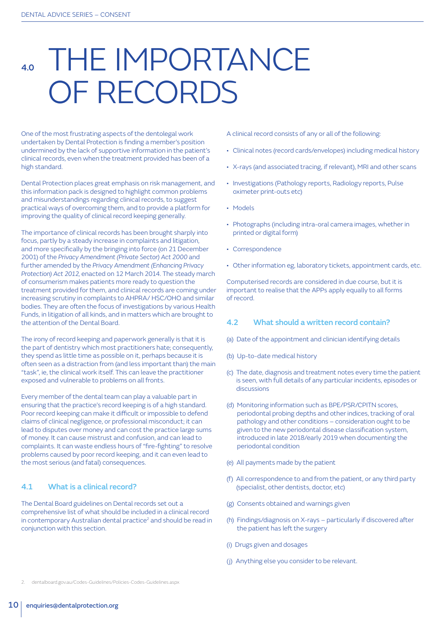### THE IMPORTANCE OF RECORDS

One of the most frustrating aspects of the dentolegal work undertaken by Dental Protection is finding a member's position undermined by the lack of supportive information in the patient's clinical records, even when the treatment provided has been of a high standard.

Dental Protection places great emphasis on risk management, and this information pack is designed to highlight common problems and misunderstandings regarding clinical records, to suggest practical ways of overcoming them, and to provide a platform for improving the quality of clinical record keeping generally.

The importance of clinical records has been brought sharply into focus, partly by a steady increase in complaints and litigation, and more specifically by the bringing into force (on 21 December 2001) of the *Privacy Amendment (Private Sector) Act 2000* and further amended by the *Privacy Amendment (Enhancing Privacy Protection) Act 2012,* enacted on 12 March 2014. The steady march of consumerism makes patients more ready to question the treatment provided for them, and clinical records are coming under increasing scrutiny in complaints to AHPRA/ HSC/OHO and similar bodies. They are often the focus of investigations by various Health Funds, in litigation of all kinds, and in matters which are brought to the attention of the Dental Board.

The irony of record keeping and paperwork generally is that it is the part of dentistry which most practitioners hate; consequently, they spend as little time as possible on it, perhaps because it is often seen as a distraction from (and less important than) the main "task", ie, the clinical work itself. This can leave the practitioner exposed and vulnerable to problems on all fronts.

Every member of the dental team can play a valuable part in ensuring that the practice's record keeping is of a high standard. Poor record keeping can make it difficult or impossible to defend claims of clinical negligence, or professional misconduct; it can lead to disputes over money and can cost the practice large sums of money. It can cause mistrust and confusion, and can lead to complaints. It can waste endless hours of "fire-fighting" to resolve problems caused by poor record keeping, and it can even lead to the most serious (and fatal) consequences.

#### 4.1 What is a clinical record?

The Dental Board guidelines on Dental records set out a comprehensive list of what should be included in a clinical record in contemporary Australian dental practice<sup>2</sup> and should be read in conjunction with this section.

A clinical record consists of any or all of the following:

- Clinical notes (record cards/envelopes) including medical history
- X-rays (and associated tracing, if relevant), MRI and other scans
- Investigations (Pathology reports, Radiology reports, Pulse oximeter print-outs etc)
- Models
- Photographs (including intra-oral camera images, whether in printed or digital form)
- Correspondence
- Other information eg, laboratory tickets, appointment cards, etc.

Computerised records are considered in due course, but it is important to realise that the APPs apply equally to all forms of record.

#### 4.2 What should a written record contain?

- (a) Date of the appointment and clinician identifying details
- (b) Up-to-date medical history
- (c) The date, diagnosis and treatment notes every time the patient is seen, with full details of any particular incidents, episodes or discussions
- (d) Monitoring information such as BPE/PSR/CPITN scores, periodontal probing depths and other indices, tracking of oral pathology and other conditions – consideration ought to be given to the new periodontal disease classification system, introduced in late 2018/early 2019 when documenting the periodontal condition
- (e) All payments made by the patient
- (f) All correspondence to and from the patient, or any third party (specialist, other dentists, doctor, etc)
- (g) Consents obtained and warnings given
- (h) Findings/diagnosis on X-rays particularly if discovered after the patient has left the surgery
- (i) Drugs given and dosages
- (j) Anything else you consider to be relevant.

2. [dentalboard.gov.au/Codes-Guidelines/Policies-Codes-Guidelines.aspx](http://www.dentalboard.gov.au/Codes-Guidelines/Policies-Codes-Guidelines.aspx)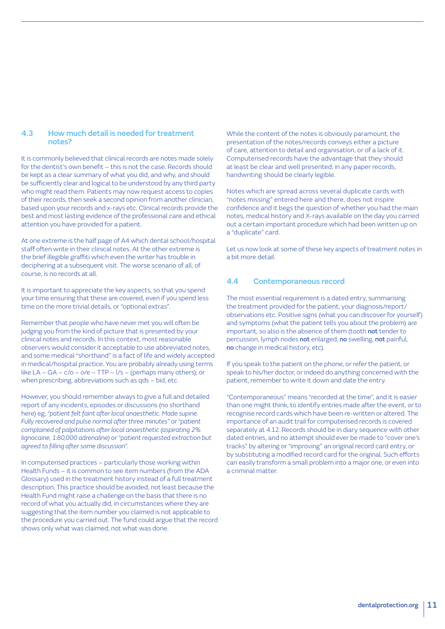#### 4.3 How much detail is needed for treatment notes?

It is commonly believed that clinical records are notes made solely for the dentist's own benefit – this is not the case. Records should be kept as a clear summary of what you did, and why, and should be sufficiently clear and logical to be understood by any third party who might read them. Patients may now request access to copies of their records, then seek a second opinion from another clinician, based upon your records and x-rays etc. Clinical records provide the best and most lasting evidence of the professional care and ethical attention you have provided for a patient.

At one extreme is the half page of A4 which dental school/hospital staff often write in their clinical notes. At the other extreme is the brief illegible graffiti which even the writer has trouble in deciphering at a subsequent visit. The worse scenario of all, of course, is no records at all.

It is important to appreciate the key aspects, so that you spend your time ensuring that these are covered, even if you spend less time on the more trivial details, or "optional extras".

Remember that people who have never met you will often be judging you from the kind of picture that is presented by your clinical notes and records. In this context, most reasonable observers would consider it acceptable to use abbreviated notes, and some medical "shorthand" is a fact of life and widely accepted in medical/hospital practice. You are probably already using terms like LA – GA – c/o – o/e – TTP – l/s – (perhaps many others); or when prescribing, abbreviations such as qds – bid, etc.

However, you should remember always to give a full and detailed report of any incidents, episodes or discussions (no shorthand here) eg, *"patient felt faint after local anaesthetic. Made supine. Fully recovered and pulse normal after three minutes"* or *"patient complained of palpitations after local anaesthetic (aspirating 2% lignocaine, 1:80,000 adrenaline)* or *"patient requested extraction but agreed to filling after some discussion".*

In computerised practices – particularly those working within Health Funds – it is common to see item numbers (from the ADA Glossary) used in the treatment history instead of a full treatment description. This practice should be avoided, not least because the Health Fund might raise a challenge on the basis that there is no record of what you actually did, in circumstances where they are suggesting that the item number you claimed is not applicable to the procedure you carried out. The fund could argue that the record shows only what was claimed, not what was done.

While the content of the notes is obviously paramount, the presentation of the notes/records conveys either a picture of care, attention to detail and organisation, or of a lack of it. Computerised records have the advantage that they should at least be clear and well presented; in any paper records, handwriting should be clearly legible.

Notes which are spread across several duplicate cards with "notes missing" entered here and there, does not inspire confidence and it begs the question of whether you had the main notes, medical history and X-rays available on the day you carried out a certain important procedure which had been written up on a "duplicate" card.

Let us now look at some of these key aspects of treatment notes in a bit more detail.

#### 4.4 Contemporaneous record

The most essential requirement is a dated entry, summarising the treatment provided for the patient, your diagnosis/report/ observations etc. Positive signs (what you can discover for yourself) and symptoms (what the patient tells you about the problem) are important, so also is the absence of them (tooth not tender to percussion, lymph nodes not enlarged, no swelling, not painful, no change in medical history, etc).

If you speak to the patient on the phone, or refer the patient, or speak to his/her doctor, or indeed do anything concerned with the patient, remember to write it down and date the entry.

"Contemporaneous" means "recorded at the time", and it is easier than one might think, to identify entries made after the event, or to recognise record cards which have been re-written or altered. The importance of an audit trail for computerised records is covered separately at 4.12. Records should be in diary sequence with other dated entries, and no attempt should ever be made to "cover one's tracks" by altering or "improving" an original record card entry, or by substituting a modified record card for the original. Such efforts can easily transform a small problem into a major one, or even into a criminal matter.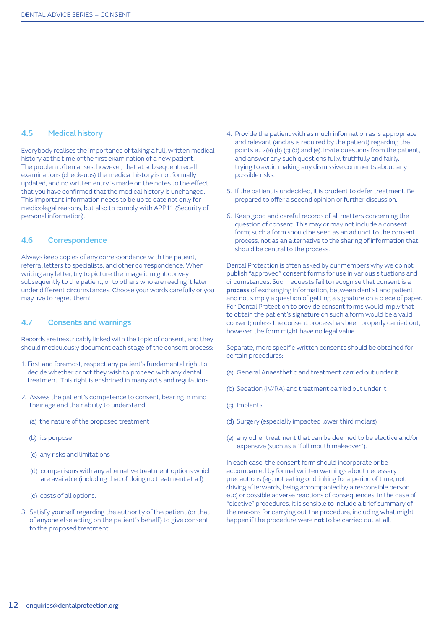#### 4.5 Medical history

Everybody realises the importance of taking a full, written medical history at the time of the first examination of a new patient. The problem often arises, however, that at subsequent recall examinations (check-ups) the medical history is not formally updated, and no written entry is made on the notes to the effect that you have confirmed that the medical history is unchanged. This important information needs to be up to date not only for medicolegal reasons, but also to comply with APP11 (Security of personal information).

#### 4.6 Correspondence

Always keep copies of any correspondence with the patient, referral letters to specialists, and other correspondence. When writing any letter, try to picture the image it might convey subsequently to the patient, or to others who are reading it later under different circumstances. Choose your words carefully or you may live to regret them!

#### 4.7 Consents and warnings

Records are inextricably linked with the topic of consent, and they should meticulously document each stage of the consent process:

- 1. First and foremost, respect any patient's fundamental right to decide whether or not they wish to proceed with any dental treatment. This right is enshrined in many acts and regulations.
- 2. Assess the patient's competence to consent, bearing in mind their age and their ability to understand:
	- (a) the nature of the proposed treatment
	- (b) its purpose
	- (c) any risks and limitations
	- (d) comparisons with any alternative treatment options which are available (including that of doing no treatment at all)
	- (e) costs of all options.
- 3. Satisfy yourself regarding the authority of the patient (or that of anyone else acting on the patient's behalf) to give consent to the proposed treatment.
- 4. Provide the patient with as much information as is appropriate and relevant (and as is required by the patient) regarding the points at 2(a) (b) (c) (d) and (e). Invite questions from the patient, and answer any such questions fully, truthfully and fairly, trying to avoid making any dismissive comments about any possible risks.
- 5. If the patient is undecided, it is prudent to defer treatment. Be prepared to offer a second opinion or further discussion.
- 6. Keep good and careful records of all matters concerning the question of consent. This may or may not include a consent form; such a form should be seen as an adjunct to the consent process, not as an alternative to the sharing of information that should be central to the process.

Dental Protection is often asked by our members why we do not publish "approved" consent forms for use in various situations and circumstances. Such requests fail to recognise that consent is a process of exchanging information, between dentist and patient, and not simply a question of getting a signature on a piece of paper. For Dental Protection to provide consent forms would imply that to obtain the patient's signature on such a form would be a valid consent; unless the consent process has been properly carried out, however, the form might have no legal value.

Separate, more specific written consents should be obtained for certain procedures:

- (a) General Anaesthetic and treatment carried out under it
- (b) Sedation (IV/RA) and treatment carried out under it
- (c) Implants
- (d) Surgery (especially impacted lower third molars)
- (e) any other treatment that can be deemed to be elective and/or expensive (such as a "full mouth makeover").

In each case, the consent form should incorporate or be accompanied by formal written warnings about necessary precautions (eg, not eating or drinking for a period of time, not driving afterwards, being accompanied by a responsible person etc) or possible adverse reactions of consequences. In the case of "elective" procedures, it is sensible to include a brief summary of the reasons for carrying out the procedure, including what might happen if the procedure were not to be carried out at all.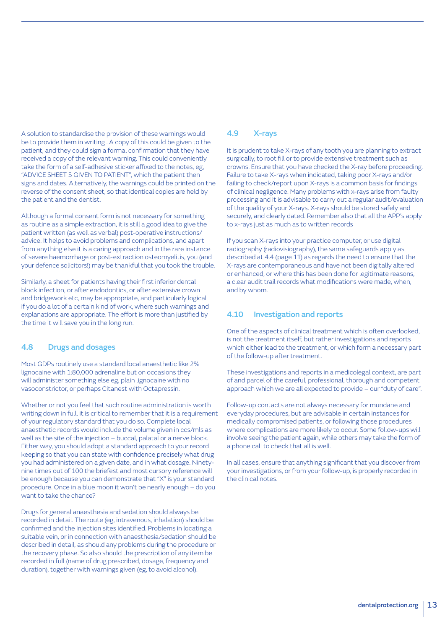A solution to standardise the provision of these warnings would be to provide them in writing . A copy of this could be given to the patient, and they could sign a formal confirmation that they have received a copy of the relevant warning. This could conveniently take the form of a self-adhesive sticker affixed to the notes, eg, "ADVICE SHEET 5 GIVEN TO PATIENT", which the patient then signs and dates. Alternatively, the warnings could be printed on the reverse of the consent sheet, so that identical copies are held by the patient and the dentist.

Although a formal consent form is not necessary for something as routine as a simple extraction, it is still a good idea to give the patient written (as well as verbal) post-operative instructions/ advice. It helps to avoid problems and complications, and apart from anything else it is a caring approach and in the rare instance of severe haemorrhage or post-extraction osteomyelitis, you (and your defence solicitors!) may be thankful that you took the trouble.

Similarly, a sheet for patients having their first inferior dental block infection, or after endodontics, or after extensive crown and bridgework etc, may be appropriate, and particularly logical if you do a lot of a certain kind of work, where such warnings and explanations are appropriate. The effort is more than justified by the time it will save you in the long run.

#### 4.8 Drugs and dosages

Most GDPs routinely use a standard local anaesthetic like 2% lignocaine with 1:80,000 adrenaline but on occasions they will administer something else eg, plain lignocaine with no vasoconstrictor, or perhaps Citanest with Octapressin.

Whether or not you feel that such routine administration is worth writing down in full, it is critical to remember that it is a requirement of your regulatory standard that you do so. Complete local anaesthetic records would include the volume given in ccs/mls as well as the site of the injection – buccal, palatal or a nerve block. Either way, you should adopt a standard approach to your record keeping so that you can state with confidence precisely what drug you had administered on a given date, and in what dosage. Ninetynine times out of 100 the briefest and most cursory reference will be enough because you can demonstrate that "X" is your standard procedure. Once in a blue moon it won't be nearly enough – do you want to take the chance?

Drugs for general anaesthesia and sedation should always be recorded in detail. The route (eg, intravenous, inhalation) should be confirmed and the injection sites identified. Problems in locating a suitable vein, or in connection with anaesthesia/sedation should be described in detail, as should any problems during the procedure or the recovery phase. So also should the prescription of any item be recorded in full (name of drug prescribed, dosage, frequency and duration), together with warnings given (eg, to avoid alcohol).

#### 4.9 X-rays

It is prudent to take X-rays of any tooth you are planning to extract surgically, to root fill or to provide extensive treatment such as crowns. Ensure that you have checked the X-ray before proceeding. Failure to take X-rays when indicated, taking poor X-rays and/or failing to check/report upon X-rays is a common basis for findings of clinical negligence. Many problems with x-rays arise from faulty processing and it is advisable to carry out a regular audit/evaluation of the quality of your X-rays. X-rays should be stored safely and securely, and clearly dated. Remember also that all the APP's apply to x-rays just as much as to written records

If you scan X-rays into your practice computer, or use digital radiography (radiovisiography), the same safeguards apply as described at 4.4 (page 11) as regards the need to ensure that the X-rays are contemporaneous and have not been digitally altered or enhanced, or where this has been done for legitimate reasons, a clear audit trail records what modifications were made, when, and by whom.

#### 4.10 Investigation and reports

One of the aspects of clinical treatment which is often overlooked, is not the treatment itself, but rather investigations and reports which either lead to the treatment, or which form a necessary part of the follow-up after treatment.

These investigations and reports in a medicolegal context, are part of and parcel of the careful, professional, thorough and competent approach which we are all expected to provide – our "duty of care".

Follow-up contacts are not always necessary for mundane and everyday procedures, but are advisable in certain instances for medically compromised patients, or following those procedures where complications are more likely to occur. Some follow-ups will involve seeing the patient again, while others may take the form of a phone call to check that all is well.

In all cases, ensure that anything significant that you discover from your investigations, or from your follow-up, is properly recorded in the clinical notes.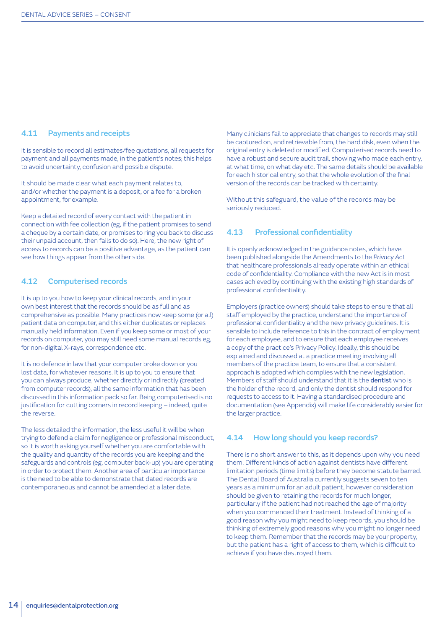#### 4.11 Payments and receipts

It is sensible to record all estimates/fee quotations, all requests for payment and all payments made, in the patient's notes; this helps to avoid uncertainty, confusion and possible dispute.

It should be made clear what each payment relates to, and/or whether the payment is a deposit, or a fee for a broken appointment, for example.

Keep a detailed record of every contact with the patient in connection with fee collection (eg, if the patient promises to send a cheque by a certain date, or promises to ring you back to discuss their unpaid account, then fails to do so). Here, the new right of access to records can be a positive advantage, as the patient can see how things appear from the other side.

#### 4.12 Computerised records

It is up to you how to keep your clinical records, and in your own best interest that the records should be as full and as comprehensive as possible. Many practices now keep some (or all) patient data on computer, and this either duplicates or replaces manually held information. Even if you keep some or most of your records on computer, you may still need some manual records eg, for non-digital X-rays, correspondence etc.

It is no defence in law that your computer broke down or you lost data, for whatever reasons. It is up to you to ensure that you can always produce, whether directly or indirectly (created from computer records), all the same information that has been discussed in this information pack so far. Being computerised is no justification for cutting corners in record keeping – indeed, quite the reverse.

The less detailed the information, the less useful it will be when trying to defend a claim for negligence or professional misconduct, so it is worth asking yourself whether you are comfortable with the quality and quantity of the records you are keeping and the safeguards and controls (eg, computer back-up) you are operating in order to protect them. Another area of particular importance is the need to be able to demonstrate that dated records are contemporaneous and cannot be amended at a later date.

Many clinicians fail to appreciate that changes to records may still be captured on, and retrievable from, the hard disk, even when the original entry is deleted or modified. Computerised records need to have a robust and secure audit trail, showing who made each entry, at what time, on what day etc. The same details should be available for each historical entry, so that the whole evolution of the final version of the records can be tracked with certainty.

Without this safeguard, the value of the records may be seriously reduced.

#### 4.13 Professional confidentiality

It is openly acknowledged in the guidance notes, which have been published alongside the Amendments to the *Privacy Act* that healthcare professionals already operate within an ethical code of confidentiality. Compliance with the new Act is in most cases achieved by continuing with the existing high standards of professional confidentiality.

Employers (practice owners) should take steps to ensure that all staff employed by the practice, understand the importance of professional confidentiality and the new privacy guidelines. It is sensible to include reference to this in the contract of employment for each employee, and to ensure that each employee receives a copy of the practice's Privacy Policy. Ideally, this should be explained and discussed at a practice meeting involving all members of the practice team, to ensure that a consistent approach is adopted which complies with the new legislation. Members of staff should understand that it is the dentist who is the holder of the record, and only the dentist should respond for requests to access to it. Having a standardised procedure and documentation (see Appendix) will make life considerably easier for the larger practice.

#### 4.14 How long should you keep records?

There is no short answer to this, as it depends upon why you need them. Different kinds of action against dentists have different limitation periods (time limits) before they become statute barred. The Dental Board of Australia currently suggests seven to ten years as a minimum for an adult patient, however consideration should be given to retaining the records for much longer, particularly if the patient had not reached the age of majority when you commenced their treatment. Instead of thinking of a good reason why you might need to keep records, you should be thinking of extremely good reasons why you might no longer need to keep them. Remember that the records may be your property, but the patient has a right of access to them, which is difficult to achieve if you have destroyed them.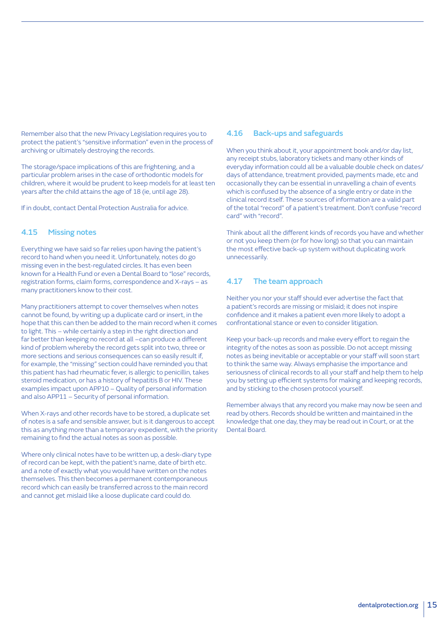Remember also that the new Privacy Legislation requires you to protect the patient's "sensitive information" even in the process of archiving or ultimately destroying the records.

The storage/space implications of this are frightening, and a particular problem arises in the case of orthodontic models for children, where it would be prudent to keep models for at least ten years after the child attains the age of 18 (ie, until age 28).

If in doubt, contact Dental Protection Australia for advice.

#### 4.15 Missing notes

Everything we have said so far relies upon having the patient's record to hand when you need it. Unfortunately, notes do go missing even in the best-regulated circles. It has even been known for a Health Fund or even a Dental Board to "lose" records, registration forms, claim forms, correspondence and X-rays – as many practitioners know to their cost.

Many practitioners attempt to cover themselves when notes cannot be found, by writing up a duplicate card or insert, in the hope that this can then be added to the main record when it comes to light. This – while certainly a step in the right direction and far better than keeping no record at all –can produce a different kind of problem whereby the record gets split into two, three or more sections and serious consequences can so easily result if, for example, the "missing" section could have reminded you that this patient has had rheumatic fever, is allergic to penicillin, takes steroid medication, or has a history of hepatitis B or HIV. These examples impact upon APP10 – Quality of personal information and also APP11 – Security of personal information.

When X-rays and other records have to be stored, a duplicate set of notes is a safe and sensible answer, but is it dangerous to accept this as anything more than a temporary expedient, with the priority remaining to find the actual notes as soon as possible.

Where only clinical notes have to be written up, a desk-diary type of record can be kept, with the patient's name, date of birth etc. and a note of exactly what you would have written on the notes themselves. This then becomes a permanent contemporaneous record which can easily be transferred across to the main record and cannot get mislaid like a loose duplicate card could do.

#### 4.16 Back-ups and safeguards

When you think about it, your appointment book and/or day list, any receipt stubs, laboratory tickets and many other kinds of everyday information could all be a valuable double check on dates/ days of attendance, treatment provided, payments made, etc and occasionally they can be essential in unravelling a chain of events which is confused by the absence of a single entry or date in the clinical record itself. These sources of information are a valid part of the total "record" of a patient's treatment. Don't confuse "record card" with "record".

Think about all the different kinds of records you have and whether or not you keep them (or for how long) so that you can maintain the most effective back-up system without duplicating work unnecessarily.

#### 4.17 The team approach

Neither you nor your staff should ever advertise the fact that a patient's records are missing or mislaid; it does not inspire confidence and it makes a patient even more likely to adopt a confrontational stance or even to consider litigation.

Keep your back-up records and make every effort to regain the integrity of the notes as soon as possible. Do not accept missing notes as being inevitable or acceptable or your staff will soon start to think the same way. Always emphasise the importance and seriousness of clinical records to all your staff and help them to help you by setting up efficient systems for making and keeping records, and by sticking to the chosen protocol yourself.

Remember always that any record you make may now be seen and read by others. Records should be written and maintained in the knowledge that one day, they may be read out in Court, or at the Dental Board.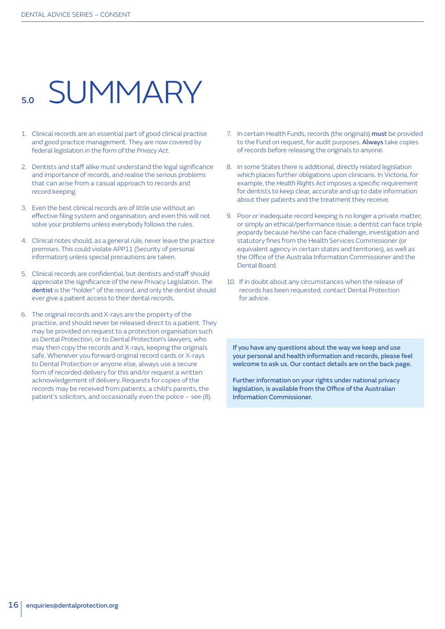### **SUMMARY**

- 1. Clinical records are an essential part of good clinical practise and good practice management. They are now covered by federal legislation in the form of the *Privacy Act*.
- 2. Dentists and staff alike must understand the legal significance and importance of records, and realise the serious problems that can arise from a casual approach to records and record keeping.
- 3. Even the best clinical records are of little use without an effective filing system and organisation, and even this will not solve your problems unless everybody follows the rules.
- 4. Clinical notes should, as a general rule, never leave the practice premises. This could violate APP11 (Security of personal information) unless special precautions are taken.
- 5. Clinical records are confidential, but dentists and staff should appreciate the significance of the new Privacy Legislation. The dentist is the "holder" of the record, and only the dentist should ever give a patient access to their dental records.
- 6. The original records and X-rays are the property of the practice, and should never be released direct to a patient. They may be provided on request to a protection organisation such as Dental Protection, or to Dental Protection's lawyers, who may then copy the records and X-rays, keeping the originals safe. Whenever you forward original record cards or X-rays to Dental Protection or anyone else, always use a secure form of recorded delivery for this and/or request a written acknowledgement of delivery. Requests for copies of the records may be received from patients, a child's parents, the patient's solicitors, and occasionally even the police – see (8).
- 7. In certain Health Funds, records (the originals) must be provided to the Fund on request, for audit purposes. Always take copies of records before releasing the originals to anyone.
- 8. In some States there is additional, directly related legislation which places further obligations upon clinicians. In Victoria, for example, the *Health Rights Act* imposes a specific requirement for dentists to keep clear, accurate and up to date information about their patients and the treatment they receive.
- 9. Poor or inadequate record keeping is no longer a private matter, or simply an ethical/performance issue; a dentist can face triple jeopardy because he/she can face challenge, investigation and statutory fines from the Health Services Commissioner (or equivalent agency in certain states and territories), as well as the Office of the Australia Information Commissioner and the Dental Board.
- 10. If in doubt about any circumstances when the release of records has been requested, contact Dental Protection for advice.

If you have any questions about the way we keep and use your personal and health information and records, please feel welcome to ask us. Our contact details are on the back page.

Further information on your rights under national privacy legislation, is available from the Office of the Australian Information Commissioner.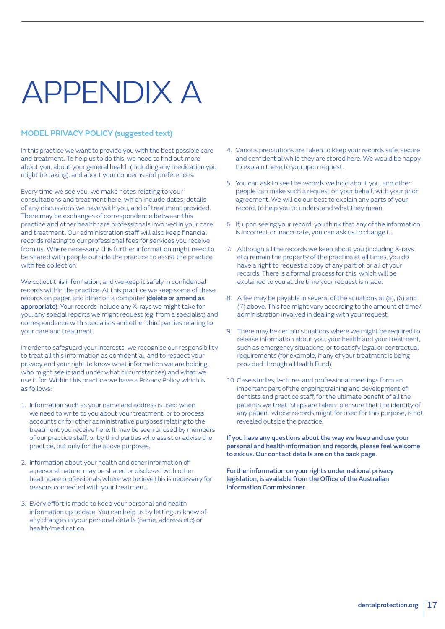# APPENDIX A

#### MODEL PRIVACY POLICY (suggested text)

In this practice we want to provide you with the best possible care and treatment. To help us to do this, we need to find out more about you, about your general health (including any medication you might be taking), and about your concerns and preferences.

Every time we see you, we make notes relating to your consultations and treatment here, which include dates, details of any discussions we have with you, and of treatment provided. There may be exchanges of correspondence between this practice and other healthcare professionals involved in your care and treatment. Our administration staff will also keep financial records relating to our professional fees for services you receive from us. Where necessary, this further information might need to be shared with people outside the practice to assist the practice with fee collection.

We collect this information, and we keep it safely in confidential records within the practice. At this practice we keep some of these records on paper, and other on a computer (delete or amend as appropriate). Your records include any X-rays we might take for you, any special reports we might request (eg, from a specialist) and correspondence with specialists and other third parties relating to your care and treatment.

In order to safeguard your interests, we recognise our responsibility to treat all this information as confidential, and to respect your privacy and your right to know what information we are holding, who might see it (and under what circumstances) and what we use it for. Within this practice we have a Privacy Policy which is as follows:

- 1. Information such as your name and address is used when we need to write to you about your treatment, or to process accounts or for other administrative purposes relating to the treatment you receive here. It may be seen or used by members of our practice staff, or by third parties who assist or advise the practice, but only for the above purposes.
- 2. Information about your health and other information of a personal nature, may be shared or disclosed with other healthcare professionals where we believe this is necessary for reasons connected with your treatment.
- 3. Every effort is made to keep your personal and health information up to date. You can help us by letting us know of any changes in your personal details (name, address etc) or health/medication.
- 4. Various precautions are taken to keep your records safe, secure and confidential while they are stored here. We would be happy to explain these to you upon request.
- 5. You can ask to see the records we hold about you, and other people can make such a request on your behalf, with your prior agreement. We will do our best to explain any parts of your record, to help you to understand what they mean.
- 6. If, upon seeing your record, you think that any of the information is incorrect or inaccurate, you can ask us to change it.
- 7. Although all the records we keep about you (including X-rays etc) remain the property of the practice at all times, you do have a right to request a copy of any part of, or all of your records. There is a formal process for this, which will be explained to you at the time your request is made.
- 8. A fee may be payable in several of the situations at (5), (6) and (7) above. This fee might vary according to the amount of time/ administration involved in dealing with your request.
- 9. There may be certain situations where we might be required to release information about you, your health and your treatment, such as emergency situations, or to satisfy legal or contractual requirements (for example, if any of your treatment is being provided through a Health Fund).
- 10. Case studies, lectures and professional meetings form an important part of the ongoing training and development of dentists and practice staff, for the ultimate benefit of all the patients we treat. Steps are taken to ensure that the identity of any patient whose records might for used for this purpose, is not revealed outside the practice.

If you have any questions about the way we keep and use your personal and health information and records, please feel welcome to ask us. Our contact details are on the back page.

Further information on your rights under national privacy legislation, is available from the Office of the Australian Information Commissioner.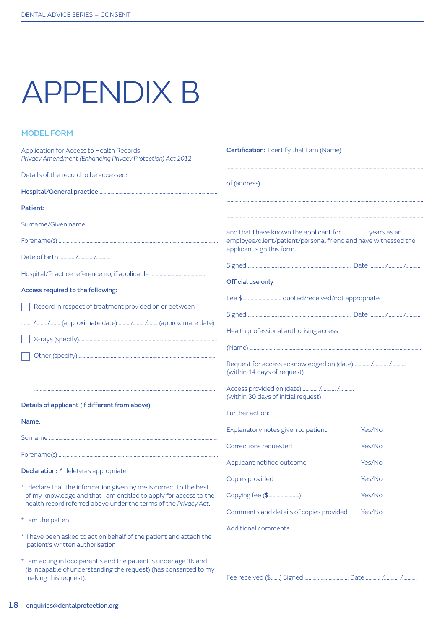# APPENDIX B

#### MODEL FORM

| Application for Access to Health Records<br>Privacy Amendment (Enhancing Privacy Protection) Act 2012                                 | Certification: I certify that I am (Name)                                                                                                           |        |  |
|---------------------------------------------------------------------------------------------------------------------------------------|-----------------------------------------------------------------------------------------------------------------------------------------------------|--------|--|
| Details of the record to be accessed:                                                                                                 |                                                                                                                                                     |        |  |
|                                                                                                                                       |                                                                                                                                                     |        |  |
| Patient:                                                                                                                              |                                                                                                                                                     |        |  |
|                                                                                                                                       |                                                                                                                                                     |        |  |
|                                                                                                                                       | and that I have known the applicant for  years as an<br>employee/client/patient/personal friend and have witnessed the<br>applicant sign this form. |        |  |
| Date of birth  / /                                                                                                                    |                                                                                                                                                     |        |  |
|                                                                                                                                       |                                                                                                                                                     |        |  |
| Access required to the following:                                                                                                     | Official use only                                                                                                                                   |        |  |
| Record in respect of treatment provided on or between                                                                                 |                                                                                                                                                     |        |  |
| / / (approximate date)  / / (approximate date)                                                                                        |                                                                                                                                                     |        |  |
|                                                                                                                                       | Health professional authorising access                                                                                                              |        |  |
|                                                                                                                                       |                                                                                                                                                     |        |  |
|                                                                                                                                       | Request for access acknowledged on (date)  / /<br>(within 14 days of request)                                                                       |        |  |
|                                                                                                                                       | Access provided on (date)  / /<br>(within 30 days of initial request)                                                                               |        |  |
| Details of applicant (if different from above):                                                                                       | Further action:                                                                                                                                     |        |  |
| Name:                                                                                                                                 | Explanatory notes given to patient                                                                                                                  | Yes/No |  |
|                                                                                                                                       | Corrections requested                                                                                                                               | Yes/No |  |
|                                                                                                                                       | Applicant notified outcome                                                                                                                          |        |  |
| <b>Declaration:</b> * delete as appropriate                                                                                           |                                                                                                                                                     | Yes/No |  |
| * I declare that the information given by me is correct to the best                                                                   | Copies provided                                                                                                                                     | Yes/No |  |
| of my knowledge and that I am entitled to apply for access to the<br>health record referred above under the terms of the Privacy Act. | Copying fee (\$)                                                                                                                                    | Yes/No |  |
| * I am the patient                                                                                                                    | Comments and details of copies provided                                                                                                             | Yes/No |  |
| * I have been asked to act on behalf of the patient and attach the<br>patient's written authorisation                                 | <b>Additional comments</b>                                                                                                                          |        |  |

\* I am acting in loco parentis and the patient is under age 16 and (is incapable of understanding the request) (has consented to my making this request).

| Fee received (\$) Signed |  |  |
|--------------------------|--|--|

Fee received (\$.......) Signed ................................. Date ........... /........... /...........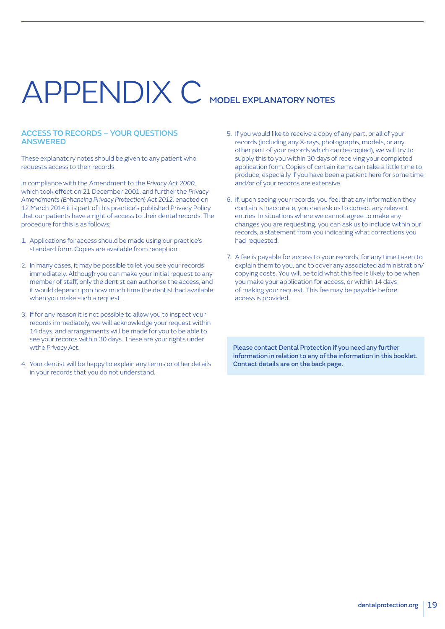# APPENDIX C MODEL EXPLANATORY NOTES

#### ACCESS TO RECORDS – YOUR QUESTIONS ANSWERED

These explanatory notes should be given to any patient who requests access to their records.

In compliance with the Amendment to the *Privacy Act 2000*, which took effect on 21 December 2001, and further the *Privacy Amendments (Enhancing Privacy Protection) Act 2012*, enacted on 12 March 2014 it is part of this practice's published Privacy Policy that our patients have a right of access to their dental records. The procedure for this is as follows:

- 1. Applications for access should be made using our practice's standard form. Copies are available from reception.
- 2. In many cases, it may be possible to let you see your records immediately. Although you can make your initial request to any member of staff, only the dentist can authorise the access, and it would depend upon how much time the dentist had available when you make such a request.
- 3. If for any reason it is not possible to allow you to inspect your records immediately, we will acknowledge your request within 14 days, and arrangements will be made for you to be able to see your records within 30 days. These are your rights under wthe *Privacy Act*.
- 4. Your dentist will be happy to explain any terms or other details in your records that you do not understand.
- 5. If you would like to receive a copy of any part, or all of your records (including any X-rays, photographs, models, or any other part of your records which can be copied), we will try to supply this to you within 30 days of receiving your completed application form. Copies of certain items can take a little time to produce, especially if you have been a patient here for some time and/or of your records are extensive.
- 6. If, upon seeing your records, you feel that any information they contain is inaccurate, you can ask us to correct any relevant entries. In situations where we cannot agree to make any changes you are requesting, you can ask us to include within our records, a statement from you indicating what corrections you had requested.
- 7. A fee is payable for access to your records, for any time taken to explain them to you, and to cover any associated administration/ copying costs. You will be told what this fee is likely to be when you make your application for access, or within 14 days of making your request. This fee may be payable before access is provided.

Please contact Dental Protection if you need any further information in relation to any of the information in this booklet. Contact details are on the back page.